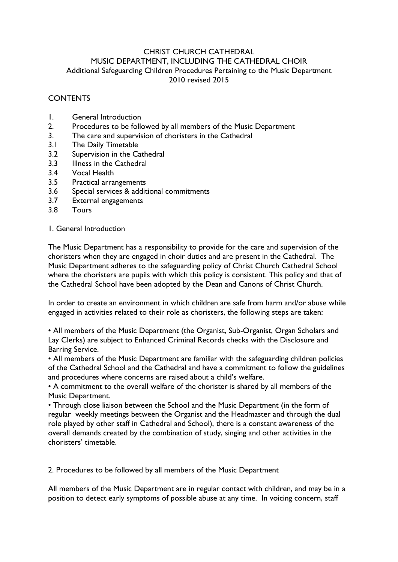# CHRIST CHURCH CATHEDRAL MUSIC DEPARTMENT, INCLUDING THE CATHEDRAL CHOIR Additional Safeguarding Children Procedures Pertaining to the Music Department 2010 revised 2015

# **CONTENTS**

- 1. General Introduction
- 2. Procedures to be followed by all members of the Music Department
- 3. The care and supervision of choristers in the Cathedral
- 3.1 The Daily Timetable
- 3.2 Supervision in the Cathedral
- 3.3 Illness in the Cathedral
- 3.4 Vocal Health
- 3.5 Practical arrangements
- 3.6 Special services & additional commitments
- 3.7 External engagements
- 3.8 Tours

# 1. General Introduction

The Music Department has a responsibility to provide for the care and supervision of the choristers when they are engaged in choir duties and are present in the Cathedral. The Music Department adheres to the safeguarding policy of Christ Church Cathedral School where the choristers are pupils with which this policy is consistent. This policy and that of the Cathedral School have been adopted by the Dean and Canons of Christ Church.

In order to create an environment in which children are safe from harm and/or abuse while engaged in activities related to their role as choristers, the following steps are taken:

• All members of the Music Department (the Organist, Sub-Organist, Organ Scholars and Lay Clerks) are subject to Enhanced Criminal Records checks with the Disclosure and Barring Service.

• All members of the Music Department are familiar with the safeguarding children policies of the Cathedral School and the Cathedral and have a commitment to follow the guidelines and procedures where concerns are raised about a child's welfare.

• A commitment to the overall welfare of the chorister is shared by all members of the Music Department.

• Through close liaison between the School and the Music Department (in the form of regular weekly meetings between the Organist and the Headmaster and through the dual role played by other staff in Cathedral and School), there is a constant awareness of the overall demands created by the combination of study, singing and other activities in the choristers' timetable.

2. Procedures to be followed by all members of the Music Department

All members of the Music Department are in regular contact with children, and may be in a position to detect early symptoms of possible abuse at any time. In voicing concern, staff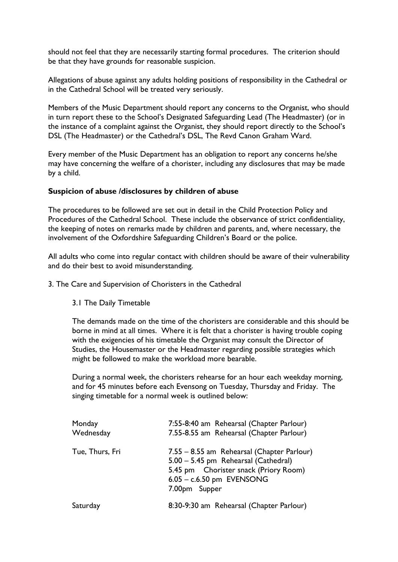should not feel that they are necessarily starting formal procedures. The criterion should be that they have grounds for reasonable suspicion.

Allegations of abuse against any adults holding positions of responsibility in the Cathedral or in the Cathedral School will be treated very seriously.

Members of the Music Department should report any concerns to the Organist, who should in turn report these to the School's Designated Safeguarding Lead (The Headmaster) (or in the instance of a complaint against the Organist, they should report directly to the School's DSL (The Headmaster) or the Cathedral's DSL, The Revd Canon Graham Ward.

Every member of the Music Department has an obligation to report any concerns he/she may have concerning the welfare of a chorister, including any disclosures that may be made by a child.

## **Suspicion of abuse /disclosures by children of abuse**

The procedures to be followed are set out in detail in the Child Protection Policy and Procedures of the Cathedral School. These include the observance of strict confidentiality, the keeping of notes on remarks made by children and parents, and, where necessary, the involvement of the Oxfordshire Safeguarding Children's Board or the police.

All adults who come into regular contact with children should be aware of their vulnerability and do their best to avoid misunderstanding.

3. The Care and Supervision of Choristers in the Cathedral

3.1 The Daily Timetable

The demands made on the time of the choristers are considerable and this should be borne in mind at all times. Where it is felt that a chorister is having trouble coping with the exigencies of his timetable the Organist may consult the Director of Studies, the Housemaster or the Headmaster regarding possible strategies which might be followed to make the workload more bearable.

During a normal week, the choristers rehearse for an hour each weekday morning, and for 45 minutes before each Evensong on Tuesday, Thursday and Friday. The singing timetable for a normal week is outlined below:

| Monday          | 7:55-8:40 am Rehearsal (Chapter Parlour)                                                                                                                                    |
|-----------------|-----------------------------------------------------------------------------------------------------------------------------------------------------------------------------|
| Wednesday       | 7.55-8.55 am Rehearsal (Chapter Parlour)                                                                                                                                    |
| Tue, Thurs, Fri | 7.55 – 8.55 am Rehearsal (Chapter Parlour)<br>5.00 - 5.45 pm Rehearsal (Cathedral)<br>5.45 pm Chorister snack (Priory Room)<br>$6.05 - c.6.50$ pm EVENSONG<br>7.00pm Supper |
| Saturday        | 8:30-9:30 am Rehearsal (Chapter Parlour)                                                                                                                                    |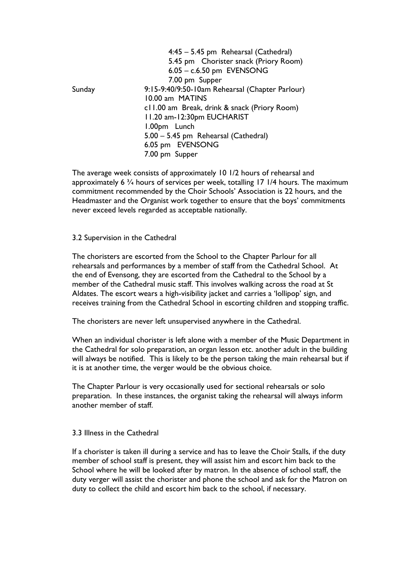|        | 4:45 - 5.45 pm Rehearsal (Cathedral)            |
|--------|-------------------------------------------------|
|        | 5.45 pm Chorister snack (Priory Room)           |
|        | $6.05 - c.6.50$ pm EVENSONG                     |
|        | 7.00 pm Supper                                  |
| Sunday | 9:15-9:40/9:50-10am Rehearsal (Chapter Parlour) |
|        | 10.00 am MATINS                                 |
|        | c11.00 am Break, drink & snack (Priory Room)    |
|        | 11.20 am-12:30pm EUCHARIST                      |
|        | 1.00pm Lunch                                    |
|        | 5.00 - 5.45 pm Rehearsal (Cathedral)            |
|        | 6.05 pm EVENSONG                                |
|        | 7.00 pm Supper                                  |

The average week consists of approximately 10 1/2 hours of rehearsal and approximately 6 ¾ hours of services per week, totalling 17 1/4 hours. The maximum commitment recommended by the Choir Schools' Association is 22 hours, and the Headmaster and the Organist work together to ensure that the boys' commitments never exceed levels regarded as acceptable nationally.

## 3.2 Supervision in the Cathedral

The choristers are escorted from the School to the Chapter Parlour for all rehearsals and performances by a member of staff from the Cathedral School. At the end of Evensong, they are escorted from the Cathedral to the School by a member of the Cathedral music staff. This involves walking across the road at St Aldates. The escort wears a high-visibility jacket and carries a 'lollipop' sign, and receives training from the Cathedral School in escorting children and stopping traffic.

The choristers are never left unsupervised anywhere in the Cathedral.

When an individual chorister is left alone with a member of the Music Department in the Cathedral for solo preparation, an organ lesson etc. another adult in the building will always be notified. This is likely to be the person taking the main rehearsal but if it is at another time, the verger would be the obvious choice.

The Chapter Parlour is very occasionally used for sectional rehearsals or solo preparation. In these instances, the organist taking the rehearsal will always inform another member of staff.

#### 3.3 Illness in the Cathedral

If a chorister is taken ill during a service and has to leave the Choir Stalls, if the duty member of school staff is present, they will assist him and escort him back to the School where he will be looked after by matron. In the absence of school staff, the duty verger will assist the chorister and phone the school and ask for the Matron on duty to collect the child and escort him back to the school, if necessary.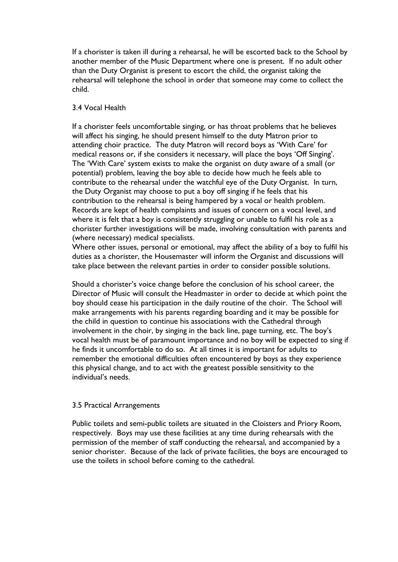If a chorister is taken ill during a rehearsal, he will be escorted back to the School by another member of the Music Department where one is present. If no adult other than the Duty Organist is present to escort the child, the organist taking the rehearsal will telephone the school in order that someone may come to collect the child.

## 3.4 Vocal Health

If a chorister feels uncomfortable singing, or has throat problems that he believes will affect his singing, he should present himself to the duty Matron prior to attending choir practice. The duty Matron will record boys as 'With Care' for medical reasons or, if she considers it necessary, will place the boys 'Off Singing'. The 'With Care' system exists to make the organist on duty aware of a small (or potential) problem, leaving the boy able to decide how much he feels able to contribute to the rehearsal under the watchful eye of the Duty Organist. In turn, the Duty Organist may choose to put a boy off singing if he feels that his contribution to the rehearsal is being hampered by a vocal or health problem. Records are kept of health complaints and issues of concern on a vocal level, and where it is felt that a boy is consistently struggling or unable to fulfil his role as a chorister further investigations will be made, involving consultation with parents and (where necessary) medical specialists.

Where other issues, personal or emotional, may affect the ability of a boy to fulfil his duties as a chorister, the Housemaster will inform the Organist and discussions will take place between the relevant parties in order to consider possible solutions.

Should a chorister's voice change before the conclusion of his school career, the Director of Music will consult the Headmaster in order to decide at which point the boy should cease his participation in the daily routine of the choir. The School will make arrangements with his parents regarding boarding and it may be possible for the child in question to continue his associations with the Cathedral through involvement in the choir, by singing in the back line, page turning, etc. The boy's vocal health must be of paramount importance and no boy will be expected to sing if he finds it uncomfortable to do so. At all times it is important for adults to remember the emotional difficulties often encountered by boys as they experience this physical change, and to act with the greatest possible sensitivity to the individual's needs.

## 3.5 Practical Arrangements

Public toilets and semi-public toilets are situated in the Cloisters and Priory Room, respectively. Boys may use these facilities at any time during rehearsals with the permission of the member of staff conducting the rehearsal, and accompanied by a senior chorister. Because of the lack of private facilities, the boys are encouraged to use the toilets in school before coming to the cathedral.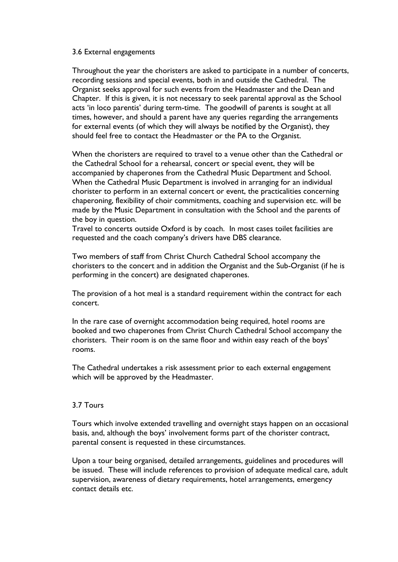#### 3.6 External engagements

Throughout the year the choristers are asked to participate in a number of concerts, recording sessions and special events, both in and outside the Cathedral. The Organist seeks approval for such events from the Headmaster and the Dean and Chapter. If this is given, it is not necessary to seek parental approval as the School acts 'in loco parentis' during term-time. The goodwill of parents is sought at all times, however, and should a parent have any queries regarding the arrangements for external events (of which they will always be notified by the Organist), they should feel free to contact the Headmaster or the PA to the Organist.

When the choristers are required to travel to a venue other than the Cathedral or the Cathedral School for a rehearsal, concert or special event, they will be accompanied by chaperones from the Cathedral Music Department and School. When the Cathedral Music Department is involved in arranging for an individual chorister to perform in an external concert or event, the practicalities concerning chaperoning, flexibility of choir commitments, coaching and supervision etc. will be made by the Music Department in consultation with the School and the parents of the boy in question.

Travel to concerts outside Oxford is by coach. In most cases toilet facilities are requested and the coach company's drivers have DBS clearance.

Two members of staff from Christ Church Cathedral School accompany the choristers to the concert and in addition the Organist and the Sub-Organist (if he is performing in the concert) are designated chaperones.

The provision of a hot meal is a standard requirement within the contract for each concert.

In the rare case of overnight accommodation being required, hotel rooms are booked and two chaperones from Christ Church Cathedral School accompany the choristers. Their room is on the same floor and within easy reach of the boys' rooms.

The Cathedral undertakes a risk assessment prior to each external engagement which will be approved by the Headmaster.

## 3.7 Tours

Tours which involve extended travelling and overnight stays happen on an occasional basis, and, although the boys' involvement forms part of the chorister contract, parental consent is requested in these circumstances.

Upon a tour being organised, detailed arrangements, guidelines and procedures will be issued. These will include references to provision of adequate medical care, adult supervision, awareness of dietary requirements, hotel arrangements, emergency contact details etc.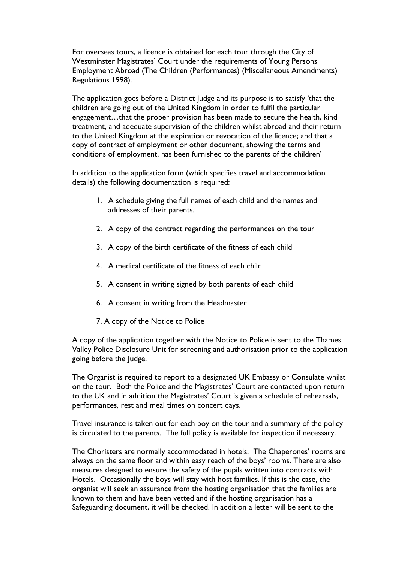For overseas tours, a licence is obtained for each tour through the City of Westminster Magistrates' Court under the requirements of Young Persons Employment Abroad (The Children (Performances) (Miscellaneous Amendments) Regulations 1998).

The application goes before a District Judge and its purpose is to satisfy 'that the children are going out of the United Kingdom in order to fulfil the particular engagement…that the proper provision has been made to secure the health, kind treatment, and adequate supervision of the children whilst abroad and their return to the United Kingdom at the expiration or revocation of the licence; and that a copy of contract of employment or other document, showing the terms and conditions of employment, has been furnished to the parents of the children'

In addition to the application form (which specifies travel and accommodation details) the following documentation is required:

- 1. A schedule giving the full names of each child and the names and addresses of their parents.
- 2. A copy of the contract regarding the performances on the tour
- 3. A copy of the birth certificate of the fitness of each child
- 4. A medical certificate of the fitness of each child
- 5. A consent in writing signed by both parents of each child
- 6. A consent in writing from the Headmaster
- 7. A copy of the Notice to Police

A copy of the application together with the Notice to Police is sent to the Thames Valley Police Disclosure Unit for screening and authorisation prior to the application going before the Judge.

The Organist is required to report to a designated UK Embassy or Consulate whilst on the tour. Both the Police and the Magistrates' Court are contacted upon return to the UK and in addition the Magistrates' Court is given a schedule of rehearsals, performances, rest and meal times on concert days.

Travel insurance is taken out for each boy on the tour and a summary of the policy is circulated to the parents. The full policy is available for inspection if necessary.

The Choristers are normally accommodated in hotels. The Chaperones' rooms are always on the same floor and within easy reach of the boys' rooms. There are also measures designed to ensure the safety of the pupils written into contracts with Hotels. Occasionally the boys will stay with host families. If this is the case, the organist will seek an assurance from the hosting organisation that the families are known to them and have been vetted and if the hosting organisation has a Safeguarding document, it will be checked. In addition a letter will be sent to the